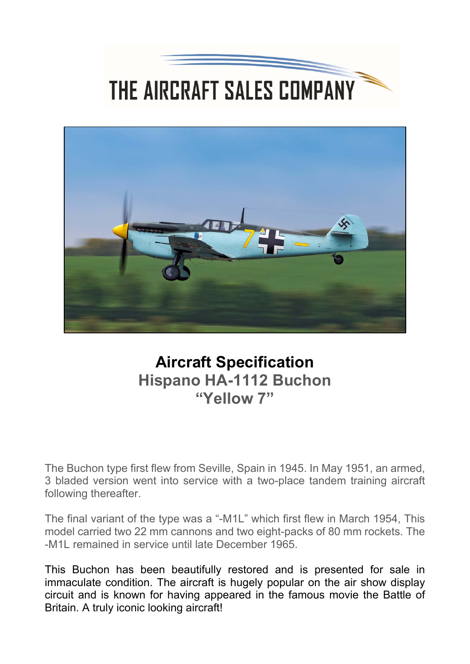## THE AIRCRAFT SALES COMPANY



## **Aircraft Specification Hispano HA-1112 Buchon "Yellow 7"**

The Buchon type first flew from Seville, Spain in 1945. In May 1951, an armed, 3 bladed version went into service with a two-place tandem training aircraft following thereafter.

The final variant of the type was a "-M1L" which first flew in March 1954, This model carried two 22 mm cannons and two eight-packs of 80 mm rockets. The -M1L remained in service until late December 1965.

This Buchon has been beautifully restored and is presented for sale in immaculate condition. The aircraft is hugely popular on the air show display circuit and is known for having appeared in the famous movie the Battle of Britain. A truly iconic looking aircraft!